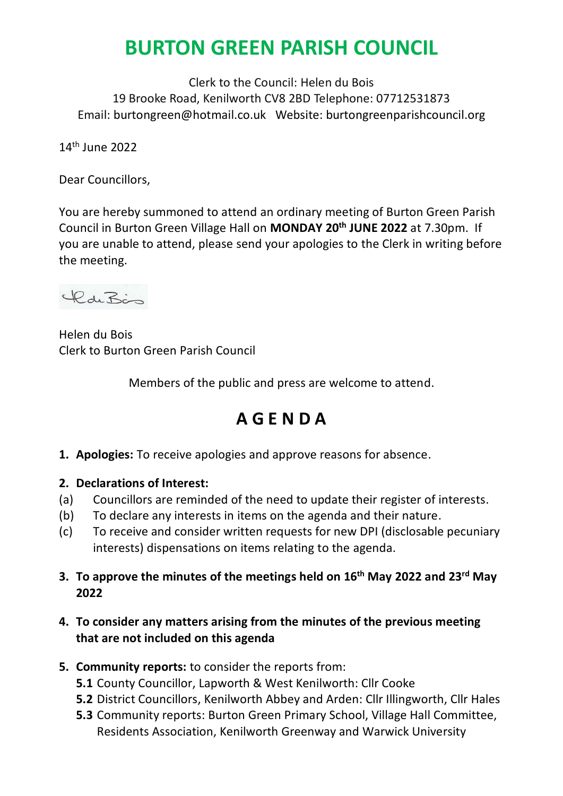# **BURTON GREEN PARISH COUNCIL**

Clerk to the Council: Helen du Bois 19 Brooke Road, Kenilworth CV8 2BD Telephone: 07712531873 Email: burtongreen@hotmail.co.uk Website: burtongreenparishcouncil.org

14th June 2022

Dear Councillors,

You are hereby summoned to attend an ordinary meeting of Burton Green Parish Council in Burton Green Village Hall on **MONDAY 20th JUNE 2022** at 7.30pm. If you are unable to attend, please send your apologies to the Clerk in writing before the meeting.



Helen du Bois Clerk to Burton Green Parish Council

Members of the public and press are welcome to attend.

## **A G E N D A**

- **1. Apologies:** To receive apologies and approve reasons for absence.
- **2. Declarations of Interest:**
- (a) Councillors are reminded of the need to update their register of interests.
- (b) To declare any interests in items on the agenda and their nature.
- (c) To receive and consider written requests for new DPI (disclosable pecuniary interests) dispensations on items relating to the agenda.
- **3. To approve the minutes of the meetings held on 16th May 2022 and 23rd May 2022**

### **4. To consider any matters arising from the minutes of the previous meeting that are not included on this agenda**

- **5. Community reports:** to consider the reports from:
	- **5.1** County Councillor, Lapworth & West Kenilworth: Cllr Cooke
	- **5.2** District Councillors, Kenilworth Abbey and Arden: Cllr Illingworth, Cllr Hales
	- **5.3** Community reports: Burton Green Primary School, Village Hall Committee, Residents Association, Kenilworth Greenway and Warwick University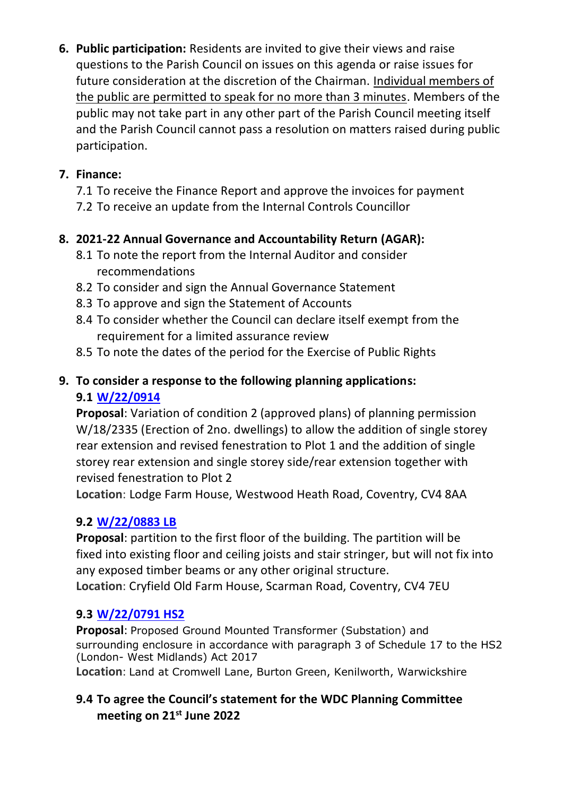**6. Public participation:** Residents are invited to give their views and raise questions to the Parish Council on issues on this agenda or raise issues for future consideration at the discretion of the Chairman. Individual members of the public are permitted to speak for no more than 3 minutes. Members of the public may not take part in any other part of the Parish Council meeting itself and the Parish Council cannot pass a resolution on matters raised during public participation.

## **7. Finance:**

- 7.1 To receive the Finance Report and approve the invoices for payment
- 7.2 To receive an update from the Internal Controls Councillor

## **8. 2021-22 Annual Governance and Accountability Return (AGAR):**

- 8.1 To note the report from the Internal Auditor and consider recommendations
- 8.2 To consider and sign the Annual Governance Statement
- 8.3 To approve and sign the Statement of Accounts
- 8.4 To consider whether the Council can declare itself exempt from the requirement for a limited assurance review
- 8.5 To note the dates of the period for the Exercise of Public Rights

## **9. To consider a response to the following planning applications: 9.1 [W/22/0914](https://planningdocuments.warwickdc.gov.uk/online-applications/applicationDetails.do?activeTab=documents&keyVal=_WARWI_DCAPR_91516)**

**Proposal**: Variation of condition 2 (approved plans) of planning permission W/18/2335 (Erection of 2no. dwellings) to allow the addition of single storey rear extension and revised fenestration to Plot 1 and the addition of single storey rear extension and single storey side/rear extension together with revised fenestration to Plot 2

**Location**: Lodge Farm House, Westwood Heath Road, Coventry, CV4 8AA

## **9.2 [W/22/0883 LB](https://planningdocuments.warwickdc.gov.uk/online-applications/applicationDetails.do?activeTab=documents&keyVal=_WARWI_DCAPR_91485)**

**Proposal**: partition to the first floor of the building. The partition will be fixed into existing floor and ceiling joists and stair stringer, but will not fix into any exposed timber beams or any other original structure. **Location**: Cryfield Old Farm House, Scarman Road, Coventry, CV4 7EU

## **9.3 [W/22/0791 HS2](https://planningdocuments.warwickdc.gov.uk/online-applications/applicationDetails.do?activeTab=documents&keyVal=_WARWI_DCAPR_91485)**

**Proposal**: Proposed Ground Mounted Transformer (Substation) and surrounding enclosure in accordance with paragraph 3 of Schedule 17 to the HS2 (London- West Midlands) Act 2017

**Location**: Land at Cromwell Lane, Burton Green, Kenilworth, Warwickshire

## **9.4 To agree the Council's statement for the WDC Planning Committee meeting on 21st June 2022**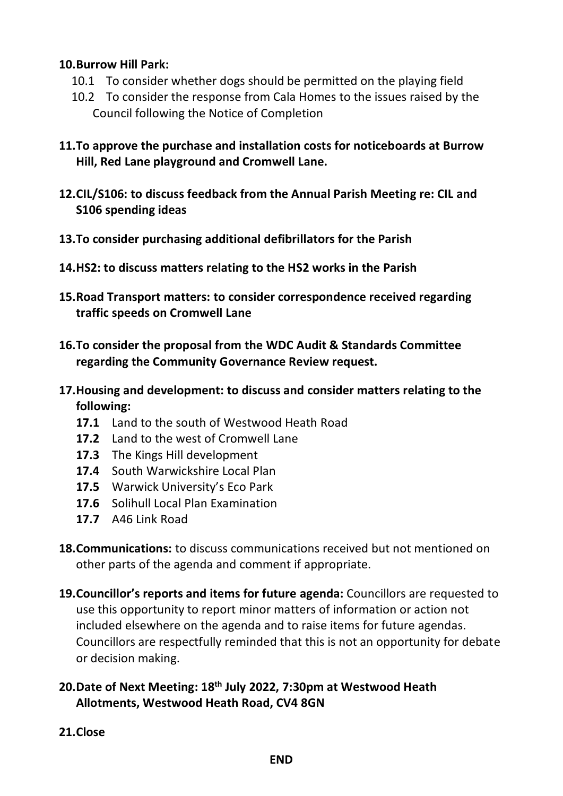#### **10.Burrow Hill Park:**

- 10.1 To consider whether dogs should be permitted on the playing field
- 10.2 To consider the response from Cala Homes to the issues raised by the Council following the Notice of Completion
- **11.To approve the purchase and installation costs for noticeboards at Burrow Hill, Red Lane playground and Cromwell Lane.**
- **12.CIL/S106: to discuss feedback from the Annual Parish Meeting re: CIL and S106 spending ideas**
- **13.To consider purchasing additional defibrillators for the Parish**
- **14.HS2: to discuss matters relating to the HS2 works in the Parish**
- **15.Road Transport matters: to consider correspondence received regarding traffic speeds on Cromwell Lane**
- **16.To consider the proposal from the WDC Audit & Standards Committee regarding the Community Governance Review request.**
- **17.Housing and development: to discuss and consider matters relating to the following:**
	- **17.1** Land to the south of Westwood Heath Road
	- **17.2** Land to the west of Cromwell Lane
	- **17.3** The Kings Hill development
	- **17.4** South Warwickshire Local Plan
	- **17.5** Warwick University's Eco Park
	- **17.6** Solihull Local Plan Examination
	- **17.7** A46 Link Road
- **18.Communications:** to discuss communications received but not mentioned on other parts of the agenda and comment if appropriate.
- **19.Councillor's reports and items for future agenda:** Councillors are requested to use this opportunity to report minor matters of information or action not included elsewhere on the agenda and to raise items for future agendas. Councillors are respectfully reminded that this is not an opportunity for debate or decision making.
- **20.Date of Next Meeting: 18th July 2022, 7:30pm at Westwood Heath Allotments, Westwood Heath Road, CV4 8GN**
- **21.Close**